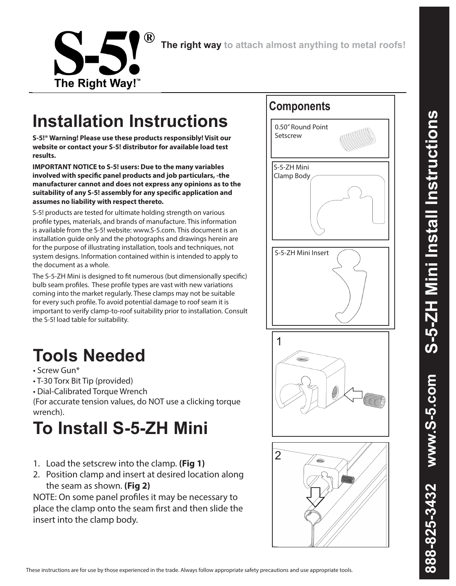

**The right way to attach almost anything to metal roofs!**

## **Installation Instructions**

The Right Way!™

**S-5!® Warning! Please use these products responsibly! Visit our website or contact your S-5! distributor for available load test results.** 

**IMPORTANT NOTICE to S-5! users: Due to the many variables involved with specific panel products and job particulars, -the manufacturer cannot and does not express any opinions as to the suitability of any S-5! assembly for any specific application and assumes no liability with respect thereto.** 

S-5! products are tested for ultimate holding strength on various profile types, materials, and brands of manufacture. This information is available from the S-5! website: www.S-5.com. This document is an installation guide only and the photographs and drawings herein are for the purpose of illustrating installation, tools and techniques, not system designs. Information contained within is intended to apply to the document as a whole.

The S-5-ZH Mini is designed to fit numerous (but dimensionally specific) bulb seam profiles. These profile types are vast with new variations coming into the market regularly. These clamps may not be suitable for every such profile. To avoid potential damage to roof seam it is important to verify clamp-to-roof suitability prior to installation. Consult the S-5! load table for suitability.

## **Tools Needed**

- Screw Gun\*
- T-30 Torx Bit Tip (provided)
- Dial-Calibrated Torque Wrench

(For accurate tension values, do NOT use a clicking torque wrench).

## **To Install S-5-ZH Mini**

- 1. Load the setscrew into the clamp. **(Fig 1)**
- 2. Position clamp and insert at desired location along the seam as shown. **(Fig 2)**

NOTE: On some panel profiles it may be necessary to place the clamp onto the seam first and then slide the insert into the clamp body.



These instructions are for use by those experienced in the trade. Always follow appropriate safety precautions and use appropriate tools.